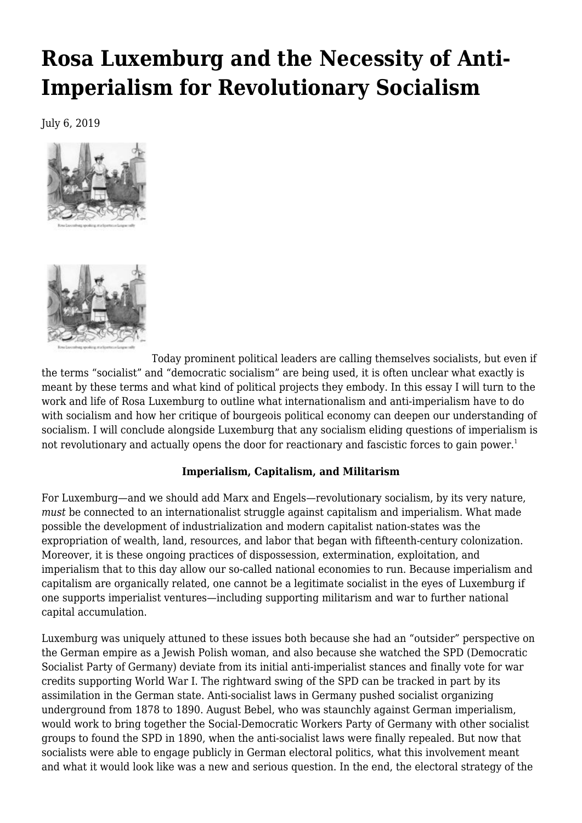# **[Rosa Luxemburg and the Necessity of Anti-](https://newpol.org/issue_post/rosa-luxemburg-and-the-necessity-of-anti-imperialism-for-revolutionary-socialism/)[Imperialism for Revolutionary Socialism](https://newpol.org/issue_post/rosa-luxemburg-and-the-necessity-of-anti-imperialism-for-revolutionary-socialism/)**

July 6, 2019





Today prominent political leaders are calling themselves socialists, but even if the terms "socialist" and "democratic socialism" are being used, it is often unclear what exactly is meant by these terms and what kind of political projects they embody. In this essay I will turn to the work and life of Rosa Luxemburg to outline what internationalism and anti-imperialism have to do with socialism and how her critique of bourgeois political economy can deepen our understanding of socialism. I will conclude alongside Luxemburg that any socialism eliding questions of imperialism is not revolutionary and actually opens the door for reactionary and fascistic forces to gain power.<sup>1</sup>

## **Imperialism, Capitalism, and Militarism**

For Luxemburg—and we should add Marx and Engels—revolutionary socialism, by its very nature, *must* be connected to an internationalist struggle against capitalism and imperialism. What made possible the development of industrialization and modern capitalist nation-states was the expropriation of wealth, land, resources, and labor that began with fifteenth-century colonization. Moreover, it is these ongoing practices of dispossession, extermination, exploitation, and imperialism that to this day allow our so-called national economies to run. Because imperialism and capitalism are organically related, one cannot be a legitimate socialist in the eyes of Luxemburg if one supports imperialist ventures—including supporting militarism and war to further national capital accumulation.

Luxemburg was uniquely attuned to these issues both because she had an "outsider" perspective on the German empire as a Jewish Polish woman, and also because she watched the SPD (Democratic Socialist Party of Germany) deviate from its initial anti-imperialist stances and finally vote for war credits supporting World War I. The rightward swing of the SPD can be tracked in part by its assimilation in the German state. Anti-socialist laws in Germany pushed socialist organizing underground from 1878 to 1890. August Bebel, who was staunchly against German imperialism, would work to bring together the Social-Democratic Workers Party of Germany with other socialist groups to found the SPD in 1890, when the anti-socialist laws were finally repealed. But now that socialists were able to engage publicly in German electoral politics, what this involvement meant and what it would look like was a new and serious question. In the end, the electoral strategy of the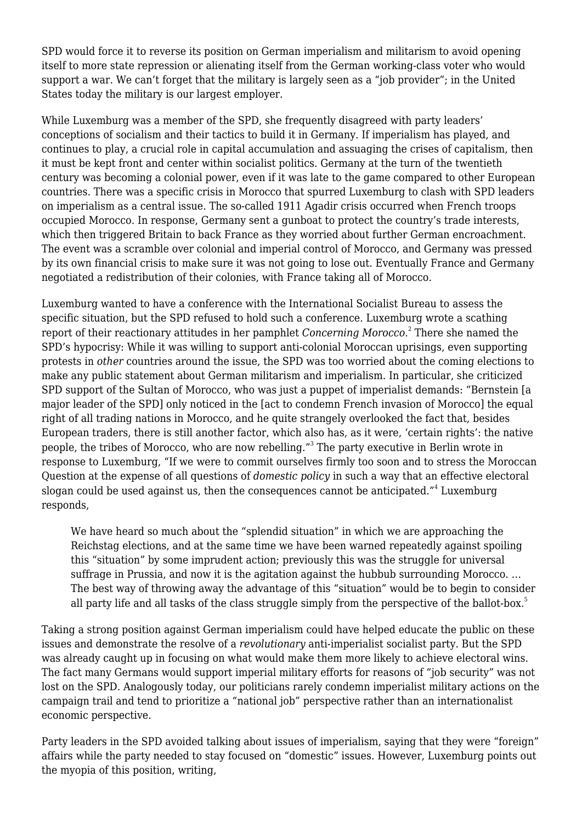SPD would force it to reverse its position on German imperialism and militarism to avoid opening itself to more state repression or alienating itself from the German working-class voter who would support a war. We can't forget that the military is largely seen as a "job provider"; in the United States today the military is our largest employer.

While Luxemburg was a member of the SPD, she frequently disagreed with party leaders' conceptions of socialism and their tactics to build it in Germany. If imperialism has played, and continues to play, a crucial role in capital accumulation and assuaging the crises of capitalism, then it must be kept front and center within socialist politics. Germany at the turn of the twentieth century was becoming a colonial power, even if it was late to the game compared to other European countries. There was a specific crisis in Morocco that spurred Luxemburg to clash with SPD leaders on imperialism as a central issue. The so-called 1911 Agadir crisis occurred when French troops occupied Morocco. In response, Germany sent a gunboat to protect the country's trade interests, which then triggered Britain to back France as they worried about further German encroachment. The event was a scramble over colonial and imperial control of Morocco, and Germany was pressed by its own financial crisis to make sure it was not going to lose out. Eventually France and Germany negotiated a redistribution of their colonies, with France taking all of Morocco.

Luxemburg wanted to have a conference with the International Socialist Bureau to assess the specific situation, but the SPD refused to hold such a conference. Luxemburg wrote a scathing report of their reactionary attitudes in her pamphlet *Concerning Morocco*. 2 There she named the SPD's hypocrisy: While it was willing to support anti-colonial Moroccan uprisings, even supporting protests in *other* countries around the issue, the SPD was too worried about the coming elections to make any public statement about German militarism and imperialism. In particular, she criticized SPD support of the Sultan of Morocco, who was just a puppet of imperialist demands: "Bernstein [a major leader of the SPD] only noticed in the [act to condemn French invasion of Morocco] the equal right of all trading nations in Morocco, and he quite strangely overlooked the fact that, besides European traders, there is still another factor, which also has, as it were, 'certain rights': the native people, the tribes of Morocco, who are now rebelling."<sup>3</sup> The party executive in Berlin wrote in response to Luxemburg, "If we were to commit ourselves firmly too soon and to stress the Moroccan Question at the expense of all questions of *domestic policy* in such a way that an effective electoral slogan could be used against us, then the consequences cannot be anticipated." $^4$  Luxemburg responds,

We have heard so much about the "splendid situation" in which we are approaching the Reichstag elections, and at the same time we have been warned repeatedly against spoiling this "situation" by some imprudent action; previously this was the struggle for universal suffrage in Prussia, and now it is the agitation against the hubbub surrounding Morocco. … The best way of throwing away the advantage of this "situation" would be to begin to consider all party life and all tasks of the class struggle simply from the perspective of the ballot-box.<sup>5</sup>

Taking a strong position against German imperialism could have helped educate the public on these issues and demonstrate the resolve of a *revolutionary* anti-imperialist socialist party. But the SPD was already caught up in focusing on what would make them more likely to achieve electoral wins. The fact many Germans would support imperial military efforts for reasons of "job security" was not lost on the SPD. Analogously today, our politicians rarely condemn imperialist military actions on the campaign trail and tend to prioritize a "national job" perspective rather than an internationalist economic perspective.

Party leaders in the SPD avoided talking about issues of imperialism, saying that they were "foreign" affairs while the party needed to stay focused on "domestic" issues. However, Luxemburg points out the myopia of this position, writing,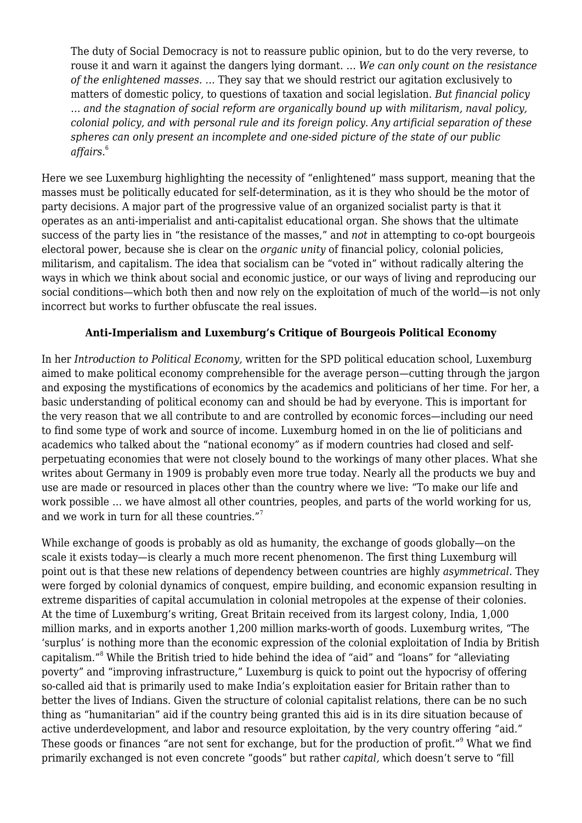The duty of Social Democracy is not to reassure public opinion, but to do the very reverse, to rouse it and warn it against the dangers lying dormant. … *We can only count on the resistance of the enlightened masses.* … They say that we should restrict our agitation exclusively to matters of domestic policy, to questions of taxation and social legislation. *But financial policy … and the stagnation of social reform are organically bound up with militarism, naval policy, colonial policy, and with personal rule and its foreign policy. Any artificial separation of these spheres can only present an incomplete and one-sided picture of the state of our public affairs*. 6

Here we see Luxemburg highlighting the necessity of "enlightened" mass support, meaning that the masses must be politically educated for self-determination, as it is they who should be the motor of party decisions. A major part of the progressive value of an organized socialist party is that it operates as an anti-imperialist and anti-capitalist educational organ. She shows that the ultimate success of the party lies in "the resistance of the masses," and *not* in attempting to co-opt bourgeois electoral power, because she is clear on the *organic unity* of financial policy, colonial policies, militarism, and capitalism. The idea that socialism can be "voted in" without radically altering the ways in which we think about social and economic justice, or our ways of living and reproducing our social conditions—which both then and now rely on the exploitation of much of the world—is not only incorrect but works to further obfuscate the real issues.

# **Anti-Imperialism and Luxemburg's Critique of Bourgeois Political Economy**

In her *Introduction to Political Economy,* written for the SPD political education school, Luxemburg aimed to make political economy comprehensible for the average person—cutting through the jargon and exposing the mystifications of economics by the academics and politicians of her time. For her, a basic understanding of political economy can and should be had by everyone. This is important for the very reason that we all contribute to and are controlled by economic forces—including our need to find some type of work and source of income. Luxemburg homed in on the lie of politicians and academics who talked about the "national economy" as if modern countries had closed and selfperpetuating economies that were not closely bound to the workings of many other places. What she writes about Germany in 1909 is probably even more true today. Nearly all the products we buy and use are made or resourced in places other than the country where we live: "To make our life and work possible … we have almost all other countries, peoples, and parts of the world working for us, and we work in turn for all these countries."<sup>7</sup>

While exchange of goods is probably as old as humanity, the exchange of goods globally—on the scale it exists today—is clearly a much more recent phenomenon. The first thing Luxemburg will point out is that these new relations of dependency between countries are highly *asymmetrical*. They were forged by colonial dynamics of conquest, empire building, and economic expansion resulting in extreme disparities of capital accumulation in colonial metropoles at the expense of their colonies. At the time of Luxemburg's writing, Great Britain received from its largest colony, India, 1,000 million marks, and in exports another 1,200 million marks-worth of goods. Luxemburg writes, "The 'surplus' is nothing more than the economic expression of the colonial exploitation of India by British capitalism."<sup>8</sup> While the British tried to hide behind the idea of "aid" and "loans" for "alleviating poverty" and "improving infrastructure," Luxemburg is quick to point out the hypocrisy of offering so-called aid that is primarily used to make India's exploitation easier for Britain rather than to better the lives of Indians. Given the structure of colonial capitalist relations, there can be no such thing as "humanitarian" aid if the country being granted this aid is in its dire situation because of active underdevelopment, and labor and resource exploitation, by the very country offering "aid." These goods or finances "are not sent for exchange, but for the production of profit." $^{\mathrm{9}}$  What we find primarily exchanged is not even concrete "goods" but rather *capital,* which doesn't serve to "fill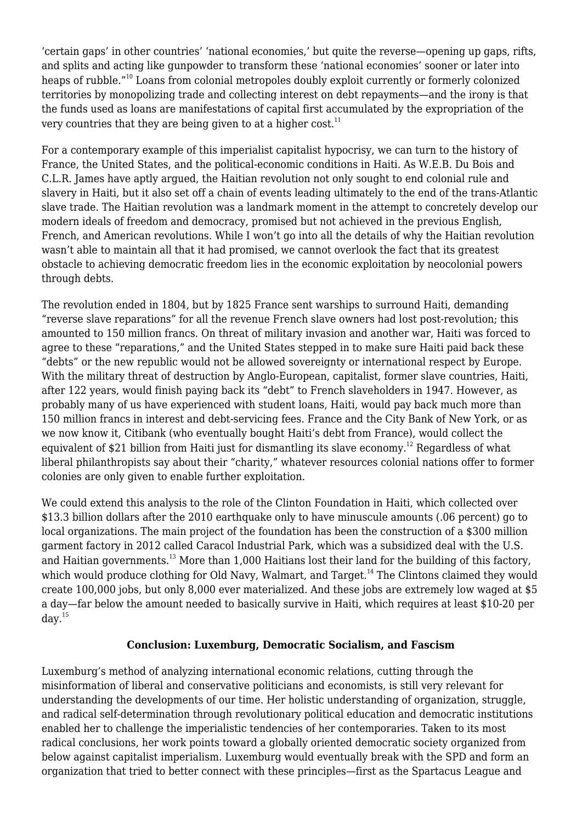'certain gaps' in other countries' 'national economies,' but quite the reverse—opening up gaps, rifts, and splits and acting like gunpowder to transform these 'national economies' sooner or later into heaps of rubble."<sup>10</sup> Loans from colonial metropoles doubly exploit currently or formerly colonized territories by monopolizing trade and collecting interest on debt repayments—and the irony is that the funds used as loans are manifestations of capital first accumulated by the expropriation of the very countries that they are being given to at a higher cost. $11$ 

For a contemporary example of this imperialist capitalist hypocrisy, we can turn to the history of France, the United States, and the political-economic conditions in Haiti. As W.E.B. Du Bois and C.L.R. James have aptly argued, the Haitian revolution not only sought to end colonial rule and slavery in Haiti, but it also set off a chain of events leading ultimately to the end of the trans-Atlantic slave trade. The Haitian revolution was a landmark moment in the attempt to concretely develop our modern ideals of freedom and democracy, promised but not achieved in the previous English, French, and American revolutions. While I won't go into all the details of why the Haitian revolution wasn't able to maintain all that it had promised, we cannot overlook the fact that its greatest obstacle to achieving democratic freedom lies in the economic exploitation by neocolonial powers through debts.

The revolution ended in 1804, but by 1825 France sent warships to surround Haiti, demanding "reverse slave reparations" for all the revenue French slave owners had lost post-revolution; this amounted to 150 million francs. On threat of military invasion and another war, Haiti was forced to agree to these "reparations," and the United States stepped in to make sure Haiti paid back these "debts" or the new republic would not be allowed sovereignty or international respect by Europe. With the military threat of destruction by Anglo-European, capitalist, former slave countries, Haiti, after 122 years, would finish paying back its "debt" to French slaveholders in 1947. However, as probably many of us have experienced with student loans, Haiti, would pay back much more than 150 million francs in interest and debt-servicing fees. France and the City Bank of New York, or as we now know it, Citibank (who eventually bought Haiti's debt from France), would collect the equivalent of \$21 billion from Haiti just for dismantling its slave economy.<sup>12</sup> Regardless of what liberal philanthropists say about their "charity," whatever resources colonial nations offer to former colonies are only given to enable further exploitation.

We could extend this analysis to the role of the Clinton Foundation in Haiti, which collected over \$13.3 billion dollars after the 2010 earthquake only to have minuscule amounts (.06 percent) go to local organizations. The main project of the foundation has been the construction of a \$300 million garment factory in 2012 called Caracol Industrial Park, which was a subsidized deal with the U.S. and Haitian governments.<sup>13</sup> More than 1,000 Haitians lost their land for the building of this factory, which would produce clothing for Old Navy, Walmart, and Target.<sup>14</sup> The Clintons claimed they would create 100,000 jobs, but only 8,000 ever materialized. And these jobs are extremely low waged at \$5 a day—far below the amount needed to basically survive in Haiti, which requires at least \$10-20 per  $\text{dav.}^{15}$ 

## **Conclusion: Luxemburg, Democratic Socialism, and Fascism**

Luxemburg's method of analyzing international economic relations, cutting through the misinformation of liberal and conservative politicians and economists, is still very relevant for understanding the developments of our time. Her holistic understanding of organization, struggle, and radical self-determination through revolutionary political education and democratic institutions enabled her to challenge the imperialistic tendencies of her contemporaries. Taken to its most radical conclusions, her work points toward a globally oriented democratic society organized from below against capitalist imperialism. Luxemburg would eventually break with the SPD and form an organization that tried to better connect with these principles—first as the Spartacus League and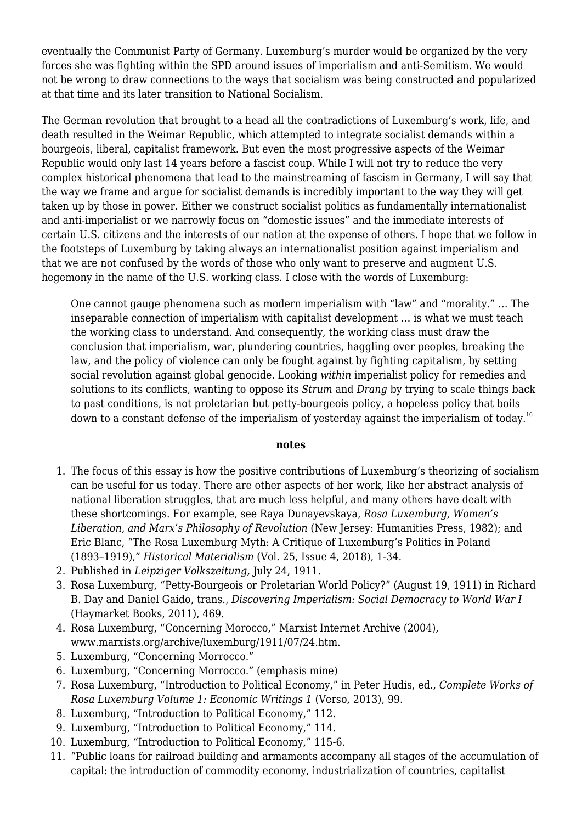eventually the Communist Party of Germany. Luxemburg's murder would be organized by the very forces she was fighting within the SPD around issues of imperialism and anti-Semitism. We would not be wrong to draw connections to the ways that socialism was being constructed and popularized at that time and its later transition to National Socialism.

The German revolution that brought to a head all the contradictions of Luxemburg's work, life, and death resulted in the Weimar Republic, which attempted to integrate socialist demands within a bourgeois, liberal, capitalist framework. But even the most progressive aspects of the Weimar Republic would only last 14 years before a fascist coup. While I will not try to reduce the very complex historical phenomena that lead to the mainstreaming of fascism in Germany, I will say that the way we frame and argue for socialist demands is incredibly important to the way they will get taken up by those in power. Either we construct socialist politics as fundamentally internationalist and anti-imperialist or we narrowly focus on "domestic issues" and the immediate interests of certain U.S. citizens and the interests of our nation at the expense of others. I hope that we follow in the footsteps of Luxemburg by taking always an internationalist position against imperialism and that we are not confused by the words of those who only want to preserve and augment U.S. hegemony in the name of the U.S. working class. I close with the words of Luxemburg:

One cannot gauge phenomena such as modern imperialism with "law" and "morality." … The inseparable connection of imperialism with capitalist development … is what we must teach the working class to understand. And consequently, the working class must draw the conclusion that imperialism, war, plundering countries, haggling over peoples, breaking the law, and the policy of violence can only be fought against by fighting capitalism, by setting social revolution against global genocide. Looking *within* imperialist policy for remedies and solutions to its conflicts, wanting to oppose its *Strum* and *Drang* by trying to scale things back to past conditions, is not proletarian but petty-bourgeois policy, a hopeless policy that boils down to a constant defense of the imperialism of yesterday against the imperialism of today.<sup>16</sup>

#### **notes**

- 1. The focus of this essay is how the positive contributions of Luxemburg's theorizing of socialism can be useful for us today. There are other aspects of her work, like her abstract analysis of national liberation struggles, that are much less helpful, and many others have dealt with these shortcomings. For example, see Raya Dunayevskaya, *Rosa Luxemburg, Women's Liberation, and Marx's Philosophy of Revolution* (New Jersey: Humanities Press, 1982); and Eric Blanc, "The Rosa Luxemburg Myth: A Critique of Luxemburg's Politics in Poland (1893–1919)," *Historical Materialism* (Vol. 25, Issue 4, 2018), 1-34.
- 2. Published in *Leipziger Volkszeitung,* July 24, 1911.
- 3. Rosa Luxemburg, "Petty-Bourgeois or Proletarian World Policy?" (August 19, 1911) in Richard B. Day and Daniel Gaido, trans., *Discovering Imperialism: Social Democracy to World War I* (Haymarket Books, 2011), 469.
- 4. Rosa Luxemburg, "Concerning Morocco," Marxist Internet Archive (2004), www.marxists.org/archive/luxemburg/1911/07/24.htm.
- 5. Luxemburg, "Concerning Morrocco."
- 6. Luxemburg, "Concerning Morrocco." (emphasis mine)
- 7. Rosa Luxemburg, "Introduction to Political Economy," in Peter Hudis, ed., *Complete Works of Rosa Luxemburg Volume 1: Economic Writings 1* (Verso, 2013), 99.
- 8. Luxemburg, "Introduction to Political Economy," 112.
- 9. Luxemburg, "Introduction to Political Economy," 114.
- 10. Luxemburg, "Introduction to Political Economy," 115-6.
- 11. "Public loans for railroad building and armaments accompany all stages of the accumulation of capital: the introduction of commodity economy, industrialization of countries, capitalist